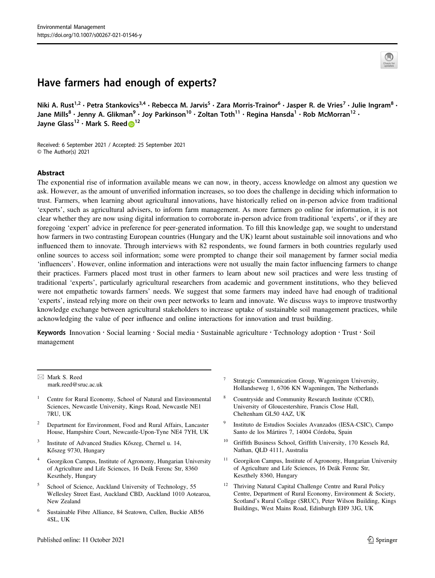# Have farmers had enough of experts?

Niki A. Rust<sup>1,2</sup> • Petra Stankovics<sup>3,4</sup> • Rebecca M. Jarvis<sup>5</sup> • Zara Morris-Trainor<sup>6</sup> • Jasper R. de Vries<sup>7</sup> • Julie Ingram<sup>8</sup> • Jane Mills<sup>8</sup> • Jenny A. Glikman<sup>9</sup> • Joy Parkinson<sup>10</sup> • Zoltan Toth<sup>11</sup> • Regina Hansda<sup>1</sup> • Rob McMorran<sup>12</sup> • Jayne Glass<sup>[1](http://orcid.org/0000-0002-8958-8474)2</sup> • Mark S. Reed <sup>12</sup>

Received: 6 September 2021 / Accepted: 25 September 2021 © The Author(s) 2021

#### Abstract

The exponential rise of information available means we can now, in theory, access knowledge on almost any question we ask. However, as the amount of unverified information increases, so too does the challenge in deciding which information to trust. Farmers, when learning about agricultural innovations, have historically relied on in-person advice from traditional 'experts', such as agricultural advisers, to inform farm management. As more farmers go online for information, it is not clear whether they are now using digital information to corroborate in-person advice from traditional 'experts', or if they are foregoing 'expert' advice in preference for peer-generated information. To fill this knowledge gap, we sought to understand how farmers in two contrasting European countries (Hungary and the UK) learnt about sustainable soil innovations and who influenced them to innovate. Through interviews with 82 respondents, we found farmers in both countries regularly used online sources to access soil information; some were prompted to change their soil management by farmer social media 'influencers'. However, online information and interactions were not usually the main factor influencing farmers to change their practices. Farmers placed most trust in other farmers to learn about new soil practices and were less trusting of traditional 'experts', particularly agricultural researchers from academic and government institutions, who they believed were not empathetic towards farmers' needs. We suggest that some farmers may indeed have had enough of traditional 'experts', instead relying more on their own peer networks to learn and innovate. We discuss ways to improve trustworthy knowledge exchange between agricultural stakeholders to increase uptake of sustainable soil management practices, while acknowledging the value of peer influence and online interactions for innovation and trust building.

Keywords Innovation · Social learning · Social media · Sustainable agriculture · Technology adoption · Trust · Soil management

 $\boxtimes$  Mark S. Reed [mark.reed@sruc.ac.uk](mailto:mark.reed@sruc.ac.uk)

- <sup>1</sup> Centre for Rural Economy, School of Natural and Environmental Sciences, Newcastle University, Kings Road, Newcastle NE1 7RU, UK
- <sup>2</sup> Department for Environment, Food and Rural Affairs, Lancaster House, Hampshire Court, Newcastle-Upon-Tyne NE4 7YH, UK
- <sup>3</sup> Institute of Advanced Studies Kőszeg, Chernel u. 14, Kőszeg 9730, Hungary
- <sup>4</sup> Georgikon Campus, Institute of Agronomy, Hungarian University of Agriculture and Life Sciences, 16 Deák Ferenc Str, 8360 Keszthely, Hungary
- School of Science, Auckland University of Technology, 55 Wellesley Street East, Auckland CBD, Auckland 1010 Aotearoa, New Zealand
- <sup>6</sup> Sustainable Fibre Alliance, 84 Seatown, Cullen, Buckie AB56 4SL, UK
- Strategic Communication Group, Wageningen University, Hollandseweg 1, 6706 KN Wageningen, The Netherlands
- <sup>8</sup> Countryside and Community Research Institute (CCRI), University of Gloucestershire, Francis Close Hall, Cheltenham GL50 4AZ, UK
- <sup>9</sup> Instituto de Estudios Sociales Avanzados (IESA-CSIC), Campo Santo de los Mártires 7, 14004 Córdoba, Spain
- <sup>10</sup> Griffith Business School, Griffith University, 170 Kessels Rd, Nathan, QLD 4111, Australia
- $11$  Georgikon Campus, Institute of Agronomy, Hungarian University of Agriculture and Life Sciences, 16 Deák Ferenc Str, Keszthely 8360, Hungary
- <sup>12</sup> Thriving Natural Capital Challenge Centre and Rural Policy Centre, Department of Rural Economy, Environment & Society, Scotland's Rural College (SRUC), Peter Wilson Building, Kings Buildings, West Mains Road, Edinburgh EH9 3JG, UK

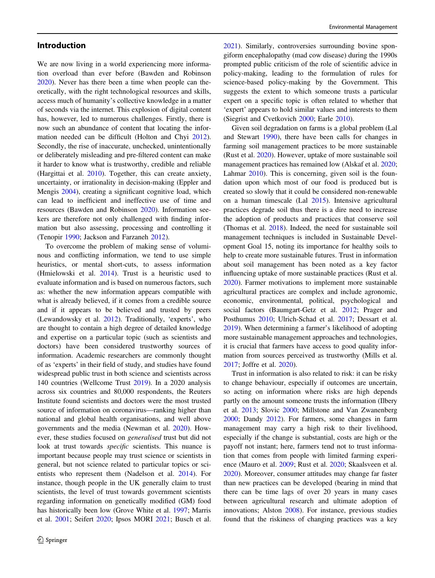## Introduction

We are now living in a world experiencing more information overload than ever before (Bawden and Robinson [2020\)](#page-10-0). Never has there been a time when people can theoretically, with the right technological resources and skills, access much of humanity's collective knowledge in a matter of seconds via the internet. This explosion of digital content has, however, led to numerous challenges. Firstly, there is now such an abundance of content that locating the information needed can be difficult (Holton and Chyi [2012](#page-11-0)). Secondly, the rise of inaccurate, unchecked, unintentionally or deliberately misleading and pre-filtered content can make it harder to know what is trustworthy, credible and reliable (Hargittai et al. [2010](#page-11-0)). Together, this can create anxiety, uncertainty, or irrationality in decision-making (Eppler and Mengis [2004](#page-11-0)), creating a significant cognitive load, which can lead to inefficient and ineffective use of time and resources (Bawden and Robinson [2020](#page-10-0)). Information seekers are therefore not only challenged with finding information but also assessing, processing and controlling it (Tenopir [1990;](#page-12-0) Jackson and Farzaneh [2012\)](#page-11-0).

To overcome the problem of making sense of voluminous and conflicting information, we tend to use simple heuristics, or mental short-cuts, to assess information (Hmielowski et al. [2014\)](#page-11-0). Trust is a heuristic used to evaluate information and is based on numerous factors, such as: whether the new information appears compatible with what is already believed, if it comes from a credible source and if it appears to be believed and trusted by peers (Lewandowsky et al. [2012\)](#page-11-0). Traditionally, 'experts', who are thought to contain a high degree of detailed knowledge and expertise on a particular topic (such as scientists and doctors) have been considered trustworthy sources of information. Academic researchers are commonly thought of as 'experts' in their field of study, and studies have found widespread public trust in both science and scientists across 140 countries (Wellcome Trust [2019\)](#page-13-0). In a 2020 analysis across six countries and 80,000 respondents, the Reuters Institute found scientists and doctors were the most trusted source of information on coronavirus—ranking higher than national and global health organisations, and well above governments and the media (Newman et al. [2020\)](#page-12-0). However, these studies focused on generalised trust but did not look at trust towards specific scientists. This nuance is important because people may trust science or scientists in general, but not science related to particular topics or scientists who represent them (Nadelson et al. [2014](#page-12-0)). For instance, though people in the UK generally claim to trust scientists, the level of trust towards government scientists regarding information on genetically modified (GM) food has historically been low (Grove White et al. [1997;](#page-11-0) Marris et al. [2001](#page-11-0); Seifert [2020](#page-12-0); Ipsos MORI [2021](#page-11-0); Busch et al.

[2021](#page-10-0)). Similarly, controversies surrounding bovine spongiform encephalopathy (mad cow disease) during the 1990s prompted public criticism of the role of scientific advice in policy-making, leading to the formulation of rules for science-based policy-making by the Government. This suggests the extent to which someone trusts a particular expert on a specific topic is often related to whether that 'expert' appears to hold similar values and interests to them (Siegrist and Cvetkovich [2000](#page-12-0); Earle [2010](#page-10-0)).

Given soil degradation on farms is a global problem (Lal and Stewart [1990\)](#page-11-0), there have been calls for changes in farming soil management practices to be more sustainable (Rust et al. [2020\)](#page-12-0). However, uptake of more sustainable soil management practices has remained low (Alskaf et al. [2020;](#page-10-0) Lahmar [2010\)](#page-11-0). This is concerning, given soil is the foundation upon which most of our food is produced but is created so slowly that it could be considered non-renewable on a human timescale (Lal [2015\)](#page-11-0). Intensive agricultural practices degrade soil thus there is a dire need to increase the adoption of products and practices that conserve soil (Thomas et al. [2018](#page-12-0)). Indeed, the need for sustainable soil management techniques is included in Sustainable Development Goal 15, noting its importance for healthy soils to help to create more sustainable futures. Trust in information about soil management has been noted as a key factor influencing uptake of more sustainable practices (Rust et al. [2020](#page-12-0)). Farmer motivations to implement more sustainable agricultural practices are complex and include agronomic, economic, environmental, political, psychological and social factors (Baumgart-Getz et al. [2012;](#page-10-0) Prager and Posthumus [2010;](#page-12-0) Ulrich-Schad et al. [2017;](#page-12-0) Dessart et al. [2019](#page-10-0)). When determining a farmer's likelihood of adopting more sustainable management approaches and technologies, it is crucial that farmers have access to good quality information from sources perceived as trustworthy (Mills et al. [2017](#page-12-0); Joffre et al. [2020\)](#page-11-0).

Trust in information is also related to risk: it can be risky to change behaviour, especially if outcomes are uncertain, so acting on information where risks are high depends partly on the amount someone trusts the information (Ilbery et al. [2013;](#page-11-0) Slovic [2000](#page-12-0); Millstone and Van Zwanenberg [2000](#page-12-0); Dandy [2012\)](#page-10-0). For farmers, some changes in farm management may carry a high risk to their livelihood, especially if the change is substantial, costs are high or the payoff not instant; here, farmers tend not to trust information that comes from people with limited farming experience (Mauro et al. [2009](#page-11-0); Rust et al. [2020;](#page-12-0) Skaalsveen et al. [2020](#page-12-0)). Moreover, consumer attitudes may change far faster than new practices can be developed (bearing in mind that there can be time lags of over 20 years in many cases between agricultural research and ultimate adoption of innovations; Alston [2008](#page-10-0)). For instance, previous studies found that the riskiness of changing practices was a key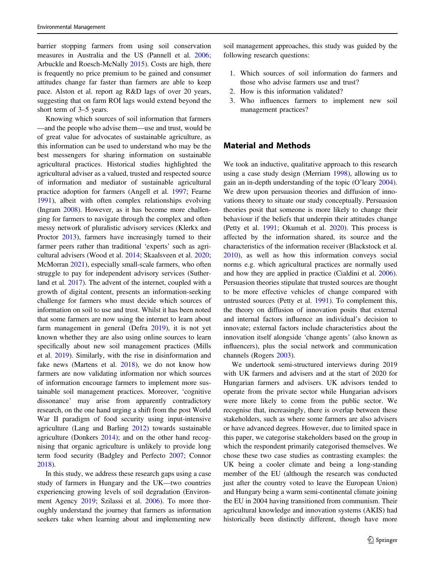barrier stopping farmers from using soil conservation measures in Australia and the US (Pannell et al. [2006](#page-12-0); Arbuckle and Roesch-McNally [2015](#page-10-0)). Costs are high, there is frequently no price premium to be gained and consumer attitudes change far faster than farmers are able to keep pace. Alston et al. report ag R&D lags of over 20 years, suggesting that on farm ROI lags would extend beyond the short term of 3–5 years.

Knowing which sources of soil information that farmers —and the people who advise them—use and trust, would be of great value for advocates of sustainable agriculture, as this information can be used to understand who may be the best messengers for sharing information on sustainable agricultural practices. Historical studies highlighted the agricultural adviser as a valued, trusted and respected source of information and mediator of sustainable agricultural practice adoption for farmers (Angell et al. [1997](#page-10-0); Fearne [1991\)](#page-11-0), albeit with often complex relationships evolving (Ingram [2008\)](#page-11-0). However, as it has become more challenging for farmers to navigate through the complex and often messy network of pluralistic advisory services (Klerkx and Proctor [2013](#page-11-0)), farmers have increasingly turned to their farmer peers rather than traditional 'experts' such as agricultural advisers (Wood et al. [2014;](#page-13-0) Skaalsveen et al. [2020](#page-12-0); McMorran [2021\)](#page-11-0), especially small-scale farmers, who often struggle to pay for independent advisory services (Sutherland et al. [2017](#page-12-0)). The advent of the internet, coupled with a growth of digital content, presents an information-seeking challenge for farmers who must decide which sources of information on soil to use and trust. Whilst it has been noted that some farmers are now using the internet to learn about farm management in general (Defra [2019\)](#page-10-0), it is not yet known whether they are also using online sources to learn specifically about new soil management practices (Mills et al. [2019\)](#page-12-0). Similarly, with the rise in disinformation and fake news (Martens et al.  $2018$ ), we do not know how farmers are now validating information nor which sources of information encourage farmers to implement more sustainable soil management practices. Moreover, 'cognitive dissonance' may arise from apparently contradictory research, on the one hand urging a shift from the post World War II paradigm of food security using input-intensive agriculture (Lang and Barling [2012\)](#page-11-0) towards sustainable agriculture (Donkers [2014](#page-10-0)); and on the other hand recognising that organic agriculture is unlikely to provide long term food security (Badgley and Perfecto [2007;](#page-10-0) Connor [2018\)](#page-10-0).

In this study, we address these research gaps using a case study of farmers in Hungary and the UK—two countries experiencing growing levels of soil degradation (Environment Agency [2019;](#page-11-0) Szilassi et al. [2006](#page-12-0)). To more thoroughly understand the journey that farmers as information seekers take when learning about and implementing new

soil management approaches, this study was guided by the following research questions:

- 1. Which sources of soil information do farmers and those who advise farmers use and trust?
- 2. How is this information validated?
- 3. Who influences farmers to implement new soil management practices?

## Material and Methods

We took an inductive, qualitative approach to this research using a case study design (Merriam [1998](#page-12-0)), allowing us to gain an in-depth understanding of the topic (O'leary [2004\)](#page-12-0). We drew upon persuasion theories and diffusion of innovations theory to situate our study conceptually. Persuasion theories posit that someone is more likely to change their behaviour if the beliefs that underpin their attitudes change (Petty et al. [1991;](#page-12-0) Okumah et al. [2020](#page-12-0)). This process is affected by the information shared, its source and the characteristics of the information receiver (Blackstock et al. [2010](#page-10-0)), as well as how this information conveys social norms e.g. which agricultural practices are normally used and how they are applied in practice (Cialdini et al. [2006\)](#page-10-0). Persuasion theories stipulate that trusted sources are thought to be more effective vehicles of change compared with untrusted sources (Petty et al. [1991\)](#page-12-0). To complement this, the theory on diffusion of innovation posits that external and internal factors influence an individual's decision to innovate; external factors include characteristics about the innovation itself alongside 'change agents' (also known as influencers), plus the social network and communication channels (Rogers [2003\)](#page-12-0).

We undertook semi-structured interviews during 2019 with UK farmers and advisers and at the start of 2020 for Hungarian farmers and advisers. UK advisors tended to operate from the private sector while Hungarian advisors were more likely to come from the public sector. We recognise that, increasingly, there is overlap between these stakeholders, such as where some farmers are also advisers or have advanced degrees. However, due to limited space in this paper, we categorise stakeholders based on the group in which the respondent primarily categorised themselves. We chose these two case studies as contrasting examples: the UK being a cooler climate and being a long-standing member of the EU (although the research was conducted just after the country voted to leave the European Union) and Hungary being a warm semi-continental climate joining the EU in 2004 having transitioned from communism. Their agricultural knowledge and innovation systems (AKIS) had historically been distinctly different, though have more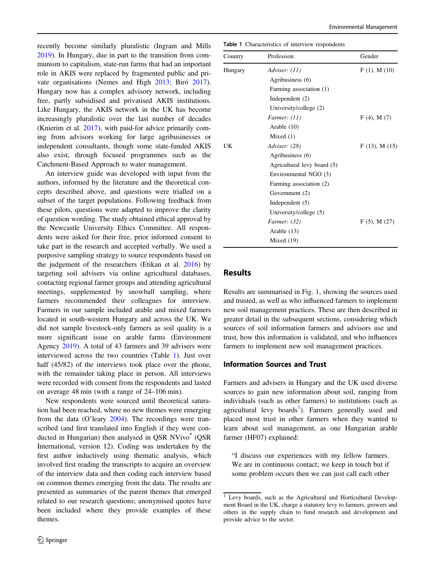recently become similarly pluralistic (Ingram and Mills [2019\)](#page-11-0). In Hungary, due in part to the transition from communism to capitalism, state-run farms that had an important role in AKIS were replaced by fragmented public and private organisations (Nemes and High [2013](#page-12-0); Biró [2017](#page-10-0)). Hungary now has a complex advisory network, including free, partly subsidised and privatised AKIS institutions. Like Hungary, the AKIS network in the UK has become increasingly pluralistic over the last number of decades (Knierim et al. [2017](#page-11-0)), with paid-for advice primarily coming from advisors working for large agribusinesses or independent consultants, though some state-funded AKIS also exist, through focused programmes such as the Catchment-Based Approach to water management.

An interview guide was developed with input from the authors, informed by the literature and the theoretical concepts described above, and questions were trialled on a subset of the target populations. Following feedback from these pilots, questions were adapted to improve the clarity of question wording. The study obtained ethical approval by the Newcastle University Ethics Committee. All respondents were asked for their free, prior informed consent to take part in the research and accepted verbally. We used a purposive sampling strategy to source respondents based on the judgement of the researchers (Etikan et al. [2016](#page-11-0)) by targeting soil advisers via online agricultural databases, contacting regional farmer groups and attending agricultural meetings, supplemented by snowball sampling, where farmers recommended their colleagues for interview. Farmers in our sample included arable and mixed farmers located in south-western Hungary and across the UK. We did not sample livestock-only farmers as soil quality is a more significant issue on arable farms (Environment Agency [2019](#page-11-0)). A total of 43 farmers and 39 advisers were interviewed across the two countries (Table 1). Just over half (45/82) of the interviews took place over the phone, with the remainder taking place in person. All interviews were recorded with consent from the respondents and lasted on average 48 min (with a range of 24–106 min).

New respondents were sourced until theoretical saturation had been reached, where no new themes were emerging from the data (O'leary [2004](#page-12-0)). The recordings were transcribed (and first translated into English if they were conducted in Hungarian) then analysed in QSR NVivo<sup>®</sup> (QSR International, version 12). Coding was undertaken by the first author inductively using thematic analysis, which involved first reading the transcripts to acquire an overview of the interview data and then coding each interview based on common themes emerging from the data. The results are presented as summaries of the parent themes that emerged related to our research questions; anonymised quotes have been included where they provide examples of these themes.

Table 1 Characteristics of interview respondents

| Country | Profession                  | Gender             |
|---------|-----------------------------|--------------------|
| Hungary | Adviser: $(11)$             | $F(1)$ , M $(10)$  |
|         | Agribusiness (6)            |                    |
|         | Farming association (1)     |                    |
|         | Independent $(2)$           |                    |
|         | University/college (2)      |                    |
|         | Farmer: (11)                | $F(4)$ , M $(7)$   |
|         | Arable (10)                 |                    |
|         | Mixed $(1)$                 |                    |
| UK      | Adviser: (28)               | $F(13)$ , M $(15)$ |
|         | Agribusiness (6)            |                    |
|         | Agricultural levy board (5) |                    |
|         | Environmental NGO (3)       |                    |
|         | Farming association (2)     |                    |
|         | Government (2)              |                    |
|         | Independent $(5)$           |                    |
|         | University/college (5)      |                    |
|         | Farmer: (32)                | $F(5)$ , M $(27)$  |
|         | Arable (13)                 |                    |
|         | Mixed $(19)$                |                    |

#### Results

Results are summarised in Fig. [1](#page-4-0), showing the sources used and trusted, as well as who influenced farmers to implement new soil management practices. These are then described in greater detail in the subsequent sections, considering which sources of soil information farmers and advisors use and trust, how this information is validated, and who influences farmers to implement new soil management practices.

#### Information Sources and Trust

Farmers and advisers in Hungary and the UK used diverse sources to gain new information about soil, ranging from individuals (such as other farmers) to institutions (such as agricultural levy boards<sup>1</sup>). Farmers generally used and placed most trust in other farmers when they wanted to learn about soil management, as one Hungarian arable farmer (HF07) explained:

"I discuss our experiences with my fellow farmers. We are in continuous contact; we keep in touch but if some problem occurs then we can just call each other

<sup>&</sup>lt;sup>1</sup> Levy boards, such as the Agricultural and Horticultural Development Board in the UK, charge a statutory levy to farmers, growers and others in the supply chain to fund research and development and provide advice to the sector.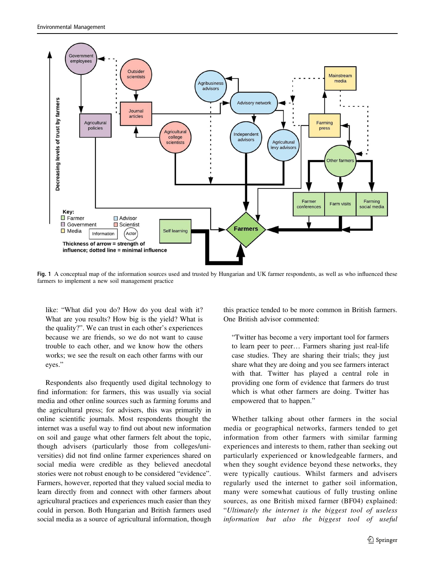<span id="page-4-0"></span>

Fig. 1 A conceptual map of the information sources used and trusted by Hungarian and UK farmer respondents, as well as who influenced these farmers to implement a new soil management practice

like: "What did you do? How do you deal with it? What are you results? How big is the yield? What is the quality?". We can trust in each other's experiences because we are friends, so we do not want to cause trouble to each other, and we know how the others works; we see the result on each other farms with our eyes."

Respondents also frequently used digital technology to find information: for farmers, this was usually via social media and other online sources such as farming forums and the agricultural press; for advisers, this was primarily in online scientific journals. Most respondents thought the internet was a useful way to find out about new information on soil and gauge what other farmers felt about the topic, though advisers (particularly those from colleges/universities) did not find online farmer experiences shared on social media were credible as they believed anecdotal stories were not robust enough to be considered "evidence". Farmers, however, reported that they valued social media to learn directly from and connect with other farmers about agricultural practices and experiences much easier than they could in person. Both Hungarian and British farmers used social media as a source of agricultural information, though

this practice tended to be more common in British farmers. One British advisor commented:

"Twitter has become a very important tool for farmers to learn peer to peer… Farmers sharing just real-life case studies. They are sharing their trials; they just share what they are doing and you see farmers interact with that. Twitter has played a central role in providing one form of evidence that farmers do trust which is what other farmers are doing. Twitter has empowered that to happen."

Whether talking about other farmers in the social media or geographical networks, farmers tended to get information from other farmers with similar farming experiences and interests to them, rather than seeking out particularly experienced or knowledgeable farmers, and when they sought evidence beyond these networks, they were typically cautious. Whilst farmers and advisers regularly used the internet to gather soil information, many were somewhat cautious of fully trusting online sources, as one British mixed farmer (BF04) explained: "Ultimately the internet is the biggest tool of useless information but also the biggest tool of useful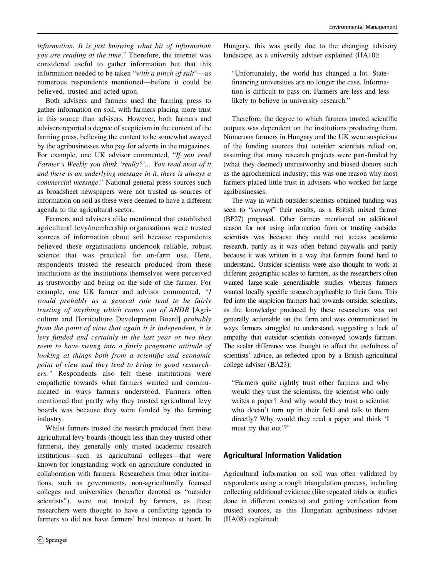information. It is just knowing what bit of information you are reading at the time." Therefore, the internet was considered useful to gather information but that this information needed to be taken "with a pinch of salt"—as numerous respondents mentioned—before it could be believed, trusted and acted upon.

Both advisers and farmers used the farming press to gather information on soil, with farmers placing more trust in this source than advisers. However, both farmers and advisers reported a degree of scepticism in the content of the farming press, believing the content to be somewhat swayed by the agribusinesses who pay for adverts in the magazines. For example, one UK advisor commented, "If you read Farmer's Weekly you think 'really?'… You read most of it and there is an underlying message in it, there is always a commercial message." National general press sources such as broadsheet newspapers were not trusted as sources of information on soil as these were deemed to have a different agenda to the agricultural sector.

Farmers and advisers alike mentioned that established agricultural levy/membership organisations were trusted sources of information about soil because respondents believed these organisations undertook reliable, robust science that was practical for on-farm use. Here, respondents trusted the research produced from these institutions as the institutions themselves were perceived as trustworthy and being on the side of the farmer. For example, one UK farmer and advisor commented, "I would probably as a general rule tend to be fairly trusting of anything which comes out of AHDB [Agriculture and Horticulture Development Board] probably from the point of view that again it is independent, it is levy funded and certainly in the last year or two they seem to have swung into a fairly pragmatic attitude of looking at things both from a scientific and economic point of view and they tend to bring in good researchers." Respondents also felt these institutions were empathetic towards what farmers wanted and communicated in ways farmers understood. Farmers often mentioned that partly why they trusted agricultural levy boards was because they were funded by the farming industry.

Whilst farmers trusted the research produced from these agricultural levy boards (though less than they trusted other farmers), they generally only trusted academic research institutions—such as agricultural colleges—that were known for longstanding work on agriculture conducted in collaboration with farmers. Researchers from other institutions, such as governments, non-agriculturally focused colleges and universities (hereafter denoted as "outsider scientists"), were not trusted by farmers, as these researchers were thought to have a conflicting agenda to farmers so did not have farmers' best interests at heart. In

Hungary, this was partly due to the changing advisory landscape, as a university adviser explained (HA10):

"Unfortunately, the world has changed a lot. Statefinancing universities are no longer the case. Information is difficult to pass on. Farmers are less and less likely to believe in university research."

Therefore, the degree to which farmers trusted scientific outputs was dependent on the institutions producing them. Numerous farmers in Hungary and the UK were suspicious of the funding sources that outsider scientists relied on, assuming that many research projects were part-funded by (what they deemed) untrustworthy and biased donors such as the agrochemical industry; this was one reason why most farmers placed little trust in advisers who worked for large agribusinesses.

The way in which outsider scientists obtained funding was seen to "corrupt" their results, as a British mixed farmer (BF27) proposed. Other farmers mentioned an additional reason for not using information from or trusting outsider scientists was because they could not access academic research, partly as it was often behind paywalls and partly because it was written in a way that farmers found hard to understand. Outsider scientists were also thought to work at different geographic scales to farmers, as the researchers often wanted large-scale generalisable studies whereas farmers wanted locally specific research applicable to their farm. This fed into the suspicion farmers had towards outsider scientists, as the knowledge produced by these researchers was not generally actionable on the farm and was communicated in ways farmers struggled to understand, suggesting a lack of empathy that outsider scientists conveyed towards farmers. The scalar difference was thought to affect the usefulness of scientists' advice, as reflected upon by a British agricultural college adviser (BA23):

"Farmers quite rightly trust other farmers and why would they trust the scientists, the scientist who only writes a paper? And why would they trust a scientist who doesn't turn up in their field and talk to them directly? Why would they read a paper and think 'I must try that out'?"

## Agricultural Information Validation

Agricultural information on soil was often validated by respondents using a rough triangulation process, including collecting additional evidence (like repeated trials or studies done in different contexts) and getting verification from trusted sources, as this Hungarian agribusiness adviser (HA08) explained: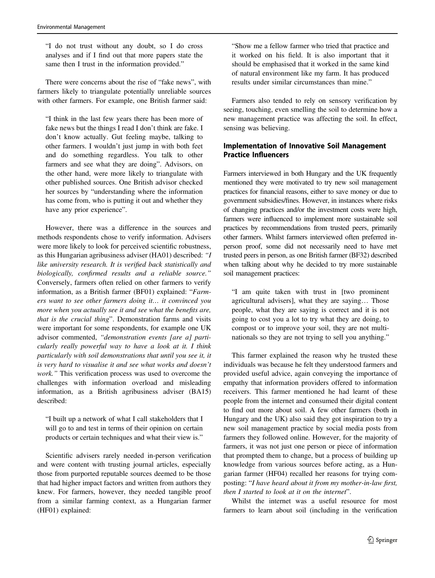"I do not trust without any doubt, so I do cross analyses and if I find out that more papers state the same then I trust in the information provided."

There were concerns about the rise of "fake news", with farmers likely to triangulate potentially unreliable sources with other farmers. For example, one British farmer said:

"I think in the last few years there has been more of fake news but the things I read I don't think are fake. I don't know actually. Gut feeling maybe, talking to other farmers. I wouldn't just jump in with both feet and do something regardless. You talk to other farmers and see what they are doing". Advisors, on the other hand, were more likely to triangulate with other published sources. One British advisor checked her sources by "understanding where the information has come from, who is putting it out and whether they have any prior experience".

However, there was a difference in the sources and methods respondents chose to verify information. Advisers were more likely to look for perceived scientific robustness, as this Hungarian agribusiness adviser (HA01) described: "I like university research. It is verified back statistically and biologically, confirmed results and a reliable source." Conversely, farmers often relied on other farmers to verify information, as a British farmer (BF01) explained: "Farmers want to see other farmers doing it… it convinced you more when you actually see it and see what the benefits are, that is the crucial thing". Demonstration farms and visits were important for some respondents, for example one UK advisor commented, "demonstration events [are a] particularly really powerful way to have a look at it. I think particularly with soil demonstrations that until you see it, it is very hard to visualise it and see what works and doesn't work." This verification process was used to overcome the challenges with information overload and misleading information, as a British agribusiness adviser (BA15) described:

"I built up a network of what I call stakeholders that I will go to and test in terms of their opinion on certain products or certain techniques and what their view is."

Scientific advisers rarely needed in-person verification and were content with trusting journal articles, especially those from purported reputable sources deemed to be those that had higher impact factors and written from authors they knew. For farmers, however, they needed tangible proof from a similar farming context, as a Hungarian farmer (HF01) explained:

"Show me a fellow farmer who tried that practice and it worked on his field. It is also important that it should be emphasised that it worked in the same kind of natural environment like my farm. It has produced results under similar circumstances than mine."

Farmers also tended to rely on sensory verification by seeing, touching, even smelling the soil to determine how a new management practice was affecting the soil. In effect, sensing was believing.

# Implementation of Innovative Soil Management Practice Influencers

Farmers interviewed in both Hungary and the UK frequently mentioned they were motivated to try new soil management practices for financial reasons, either to save money or due to government subsidies/fines. However, in instances where risks of changing practices and/or the investment costs were high, farmers were influenced to implement more sustainable soil practices by recommendations from trusted peers, primarily other farmers. Whilst farmers interviewed often preferred inperson proof, some did not necessarily need to have met trusted peers in person, as one British farmer (BF32) described when talking about why he decided to try more sustainable soil management practices:

"I am quite taken with trust in [two prominent agricultural advisers], what they are saying… Those people, what they are saying is correct and it is not going to cost you a lot to try what they are doing, to compost or to improve your soil, they are not multinationals so they are not trying to sell you anything."

This farmer explained the reason why he trusted these individuals was because he felt they understood farmers and provided useful advice, again conveying the importance of empathy that information providers offered to information receivers. This farmer mentioned he had learnt of these people from the internet and consumed their digital content to find out more about soil. A few other farmers (both in Hungary and the UK) also said they got inspiration to try a new soil management practice by social media posts from farmers they followed online. However, for the majority of farmers, it was not just one person or piece of information that prompted them to change, but a process of building up knowledge from various sources before acting, as a Hungarian farmer (HF04) recalled her reasons for trying composting: "I have heard about it from my mother-in-law first, then I started to look at it on the internet".

Whilst the internet was a useful resource for most farmers to learn about soil (including in the verification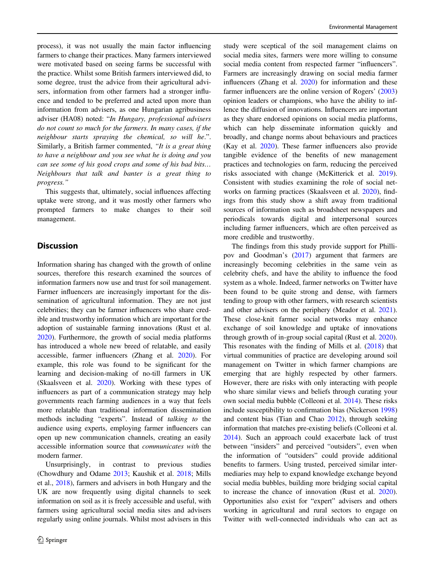process), it was not usually the main factor influencing farmers to change their practices. Many farmers interviewed were motivated based on seeing farms be successful with the practice. Whilst some British farmers interviewed did, to some degree, trust the advice from their agricultural advisers, information from other farmers had a stronger influence and tended to be preferred and acted upon more than information from advisers, as one Hungarian agribusiness adviser (HA08) noted: "In Hungary, professional advisers do not count so much for the farmers. In many cases, if the neighbour starts spraying the chemical, so will he.". Similarly, a British farmer commented, "It is a great thing to have a neighbour and you see what he is doing and you can see some of his good crops and some of his bad bits… Neighbours that talk and banter is a great thing to progress."

This suggests that, ultimately, social influences affecting uptake were strong, and it was mostly other farmers who prompted farmers to make changes to their soil management.

## **Discussion**

Information sharing has changed with the growth of online sources, therefore this research examined the sources of information farmers now use and trust for soil management. Farmer influencers are increasingly important for the dissemination of agricultural information. They are not just celebrities; they can be farmer influencers who share credible and trustworthy information which are important for the adoption of sustainable farming innovations (Rust et al. [2020\)](#page-12-0). Furthermore, the growth of social media platforms has introduced a whole new breed of relatable, and easily accessible, farmer influencers (Zhang et al. [2020\)](#page-13-0). For example, this role was found to be significant for the learning and decision-making of no-till farmers in UK (Skaalsveen et al. [2020\)](#page-12-0). Working with these types of influencers as part of a communication strategy may help governments reach farming audiences in a way that feels more relatable than traditional information dissemination methods including "experts". Instead of talking to the audience using experts, employing farmer influencers can open up new communication channels, creating an easily accessible information source that communicates with the modern farmer.

Unsurprisingly, in contrast to previous studies (Chowdhury and Odame [2013](#page-10-0); Kaushik et al. [2018;](#page-11-0) Mills et al., [2018](#page-12-0)), farmers and advisers in both Hungary and the UK are now frequently using digital channels to seek information on soil as it is freely accessible and useful, with farmers using agricultural social media sites and advisers regularly using online journals. Whilst most advisers in this study were sceptical of the soil management claims on social media sites, farmers were more willing to consume social media content from respected farmer "influencers". Farmers are increasingly drawing on social media farmer influencers (Zhang et al. [2020\)](#page-13-0) for information and these farmer influencers are the online version of Rogers' [\(2003](#page-12-0)) opinion leaders or champions, who have the ability to inflence the diffusion of innovations. Influencers are important as they share endorsed opinions on social media platforms, which can help disseminate information quickly and broadly, and change norms about behaviours and practices (Kay et al. [2020](#page-11-0)). These farmer influencers also provide tangible evidence of the benefits of new management practices and technologies on farm, reducing the perceived risks associated with change (McKitterick et al. [2019\)](#page-11-0). Consistent with studies examining the role of social networks on farming practices (Skaalsveen et al. [2020](#page-12-0)), findings from this study show a shift away from traditional sources of information such as broadsheet newspapers and periodicals towards digital and interpersonal sources including farmer influencers, which are often perceived as more credible and trustworthy.

The findings from this study provide support for Phillipov and Goodman's [\(2017\)](#page-12-0) argument that farmers are increasingly becoming celebrities in the same vein as celebrity chefs, and have the ability to influence the food system as a whole. Indeed, farmer networks on Twitter have been found to be quite strong and dense, with farmers tending to group with other farmers, with research scientists and other advisers on the periphery (Meador et al. [2021\)](#page-11-0). These close-knit farmer social networks may enhance exchange of soil knowledge and uptake of innovations through growth of in-group social capital (Rust et al. [2020\)](#page-12-0). This resonates with the finding of Mills et al. [\(2018](#page-12-0)) that virtual communities of practice are developing around soil management on Twitter in which farmer champions are emerging that are highly respected by other farmers. However, there are risks with only interacting with people who share similar views and beliefs through curating your own social media bubble (Colleoni et al. [2014\)](#page-10-0). These risks include susceptibility to confirmation bias (Nickerson [1998](#page-12-0)) and content bias (Tian and Chao [2012\)](#page-12-0), through seeking information that matches pre-existing beliefs (Colleoni et al. [2014](#page-10-0)). Such an approach could exacerbate lack of trust between "insiders" and perceived "outsiders", even when the information of "outsiders" could provide additional benefits to farmers. Using trusted, perceived similar intermediaries may help to expand knowledge exchange beyond social media bubbles, building more bridging social capital to increase the chance of innovation (Rust et al. [2020\)](#page-12-0). Opportunities also exist for "expert" advisers and others working in agricultural and rural sectors to engage on Twitter with well-connected individuals who can act as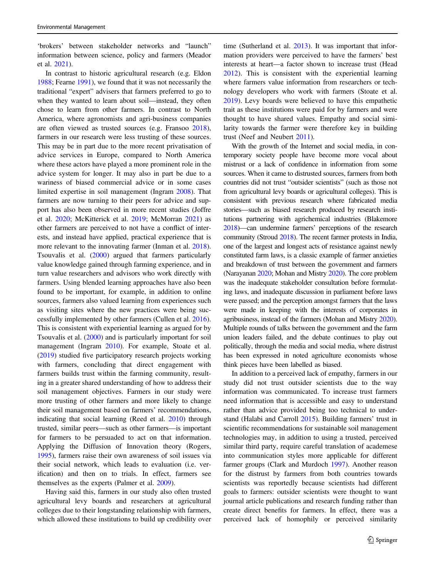'brokers' between stakeholder networks and "launch" information between science, policy and farmers (Meador et al. [2021](#page-11-0)).

In contrast to historic agricultural research (e.g. Eldon [1988;](#page-11-0) Fearne [1991](#page-11-0)), we found that it was not necessarily the traditional "expert" advisers that farmers preferred to go to when they wanted to learn about soil—instead, they often chose to learn from other farmers. In contrast to North America, where agronomists and agri-business companies are often viewed as trusted sources (e.g. Fransoo [2018](#page-11-0)), farmers in our research were less trusting of these sources. This may be in part due to the more recent privatisation of advice services in Europe, compared to North America where these actors have played a more prominent role in the advice system for longer. It may also in part be due to a wariness of biased commercial advice or in some cases limited expertise in soil management (Ingram [2008\)](#page-11-0). That farmers are now turning to their peers for advice and support has also been observed in more recent studies (Joffre et al. [2020;](#page-11-0) McKitterick et al. [2019;](#page-11-0) McMorran [2021\)](#page-11-0) as other farmers are perceived to not have a conflict of interests, and instead have applied, practical experience that is more relevant to the innovating farmer (Inman et al. [2018](#page-11-0)). Tsouvalis et al. [\(2000](#page-12-0)) argued that farmers particularly value knowledge gained through farming experience, and in turn value researchers and advisors who work directly with farmers. Using blended learning approaches have also been found to be important, for example, in addition to online sources, farmers also valued learning from experiences such as visiting sites where the new practices were being successfully implemented by other farmers (Cullen et al. [2016](#page-10-0)). This is consistent with experiential learning as argued for by Tsouvalis et al. [\(2000](#page-12-0)) and is particularly important for soil management (Ingram [2010](#page-11-0)). For example, Stoate et al. [\(2019](#page-12-0)) studied five participatory research projects working with farmers, concluding that direct engagement with farmers builds trust within the farming community, resulting in a greater shared understanding of how to address their soil management objectives. Farmers in our study were more trusting of other farmers and more likely to change their soil management based on farmers' recommendations, indicating that social learning (Reed et al. [2010\)](#page-12-0) through trusted, similar peers—such as other farmers—is important for farmers to be persuaded to act on that information. Applying the Diffusion of Innovation theory (Rogers, [1995\)](#page-12-0), farmers raise their own awareness of soil issues via their social network, which leads to evaluation (i.e. verification) and then on to trials. In effect, farmers see themselves as the experts (Palmer et al. [2009\)](#page-12-0).

Having said this, farmers in our study also often trusted agricultural levy boards and researchers at agricultural colleges due to their longstanding relationship with farmers, which allowed these institutions to build up credibility over

time (Sutherland et al. [2013](#page-12-0)). It was important that information providers were perceived to have the farmers' best interests at heart—a factor shown to increase trust (Head [2012](#page-11-0)). This is consistent with the experiential learning where farmers value information from researchers or technology developers who work with farmers (Stoate et al. [2019](#page-12-0)). Levy boards were believed to have this empathetic trait as these institutions were paid for by farmers and were thought to have shared values. Empathy and social similarity towards the farmer were therefore key in building trust (Neef and Neubert [2011](#page-12-0)).

With the growth of the Internet and social media, in contemporary society people have become more vocal about mistrust or a lack of confidence in information from some sources. When it came to distrusted sources, farmers from both countries did not trust "outsider scientists" (such as those not from agricultural levy boards or agricultural colleges). This is consistent with previous research where fabricated media stories—such as biased research produced by research institutions partnering with agrichemical industries (Blakemore [2018](#page-10-0))—can undermine farmers' perceptions of the research community (Stroud [2018](#page-12-0)). The recent farmer protests in India, one of the largest and longest acts of resistance against newly constituted farm laws, is a classic example of farmer anxieties and breakdown of trust between the government and farmers (Narayanan [2020;](#page-12-0) Mohan and Mistry [2020](#page-12-0)). The core problem was the inadequate stakeholder consultation before formulating laws, and inadequate discussion in parliament before laws were passed; and the perception amongst farmers that the laws were made in keeping with the interests of corporates in agribusiness, instead of the farmers (Mohan and Mistry [2020\)](#page-12-0). Multiple rounds of talks between the government and the farm union leaders failed, and the debate continues to play out politically, through the media and social media, where distrust has been expressed in noted agriculture economists whose think pieces have been labelled as biased.

In addition to a perceived lack of empathy, farmers in our study did not trust outsider scientists due to the way information was communicated. To increase trust farmers need information that is accessible and easy to understand rather than advice provided being too technical to understand (Halabi and Carroll [2015](#page-11-0)). Building farmers' trust in scientific recommendations for sustainable soil management technologies may, in addition to using a trusted, perceived similar third party, require careful translation of academese into communication styles more applicable for different farmer groups (Clark and Murdoch [1997](#page-10-0)). Another reason for the distrust by farmers from both countries towards scientists was reportedly because scientists had different goals to farmers: outsider scientists were thought to want journal article publications and research funding rather than create direct benefits for farmers. In effect, there was a perceived lack of homophily or perceived similarity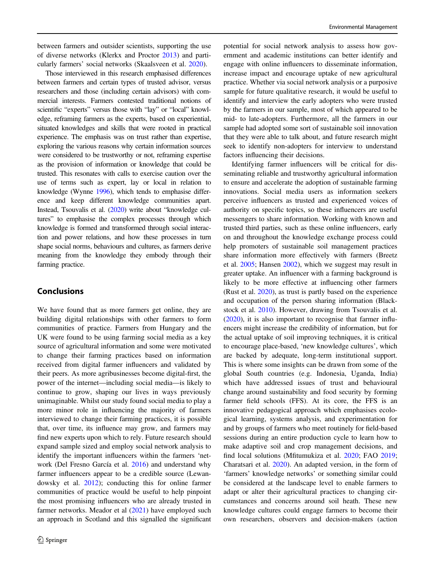between farmers and outsider scientists, supporting the use of diverse networks (Klerkx and Proctor [2013](#page-11-0)) and particularly farmers' social networks (Skaalsveen et al. [2020](#page-12-0)).

Those interviewed in this research emphasised differences between farmers and certain types of trusted advisor, versus researchers and those (including certain advisors) with commercial interests. Farmers contested traditional notions of scientific "experts" versus those with "lay" or "local" knowledge, reframing farmers as the experts, based on experiential, situated knowledges and skills that were rooted in practical experience. The emphasis was on trust rather than expertise, exploring the various reasons why certain information sources were considered to be trustworthy or not, reframing expertise as the provision of information or knowledge that could be trusted. This resonates with calls to exercise caution over the use of terms such as expert, lay or local in relation to knowledge (Wynne [1996\)](#page-13-0), which tends to emphasise difference and keep different knowledge communities apart. Instead, Tsouvalis et al. [\(2020](#page-12-0)) write about "knowledge cultures" to emphasise the complex processes through which knowledge is formed and transformed through social interaction and power relations, and how these processes in turn shape social norms, behaviours and cultures, as farmers derive meaning from the knowledge they embody through their farming practice.

# Conclusions

We have found that as more farmers get online, they are building digital relationships with other farmers to form communities of practice. Farmers from Hungary and the UK were found to be using farming social media as a key source of agricultural information and some were motivated to change their farming practices based on information received from digital farmer influencers and validated by their peers. As more agribusinesses become digital-first, the power of the internet—including social media—is likely to continue to grow, shaping our lives in ways previously unimaginable. Whilst our study found social media to play a more minor role in influencing the majority of farmers interviewed to change their farming practices, it is possible that, over time, its influence may grow, and farmers may find new experts upon which to rely. Future research should expand sample sized and employ social network analysis to identify the important influencers within the farmers 'network (Del Fresno García et al. [2016](#page-11-0)) and understand why farmer influencers appear to be a credible source (Lewandowsky et al. [2012](#page-11-0)); conducting this for online farmer communities of practice would be useful to help pinpoint the most promising influencers who are already trusted in farmer networks. Meador et al [\(2021](#page-11-0)) have employed such an approach in Scotland and this signalled the significant

potential for social network analysis to assess how government and academic institutions can better identify and engage with online influencers to disseminate information, increase impact and encourage uptake of new agricultural practice. Whether via social network analysis or a purposive sample for future qualitative research, it would be useful to identify and interview the early adopters who were trusted by the farmers in our sample, most of which appeared to be mid- to late-adopters. Furthermore, all the farmers in our sample had adopted some sort of sustainable soil innovation that they were able to talk about, and future research might seek to identify non-adopters for interview to understand factors influencing their decisions.

Identifying farmer influencers will be critical for disseminating reliable and trustworthy agricultural information to ensure and accelerate the adoption of sustainable farming innovations. Social media users as information seekers perceive influencers as trusted and experienced voices of authority on specific topics, so these influencers are useful messengers to share information. Working with known and trusted third parties, such as these online influencers, early on and throughout the knowledge exchange process could help promoters of sustainable soil management practices share information more effectively with farmers (Breetz et al. [2005](#page-10-0); Hansen [2002\)](#page-11-0), which we suggest may result in greater uptake. An influencer with a farming background is likely to be more effective at influencing other farmers (Rust et al. [2020\)](#page-12-0), as trust is partly based on the experience and occupation of the person sharing information (Blackstock et al. [2010](#page-10-0)). However, drawing from Tsouvalis et al. [\(2020](#page-12-0)), it is also important to recognise that farmer influencers might increase the credibility of information, but for the actual uptake of soil improving techniques, it is critical to encourage place-based, 'new knowledge cultures', which are backed by adequate, long-term institutional support. This is where some insights can be drawn from some of the global South countries (e.g. Indonesia, Uganda, India) which have addressed issues of trust and behavioural change around sustainability and food security by forming farmer field schools (FFS). At its core, the FFS is an innovative pedagogical approach which emphasises ecological learning, systems analysis, and experimentation for and by groups of farmers who meet routinely for field-based sessions during an entire production cycle to learn how to make adaptive soil and crop management decisions, and find local solutions (Mfitumukiza et al. [2020](#page-12-0); FAO [2019;](#page-11-0) Charatsari et al. [2020](#page-10-0)). An adapted version, in the form of 'farmers' knowledge networks' or something similar could be considered at the landscape level to enable farmers to adapt or alter their agricultural practices to changing circumstances and concerns around soil heath. These new knowledge cultures could engage farmers to become their own researchers, observers and decision-makers (action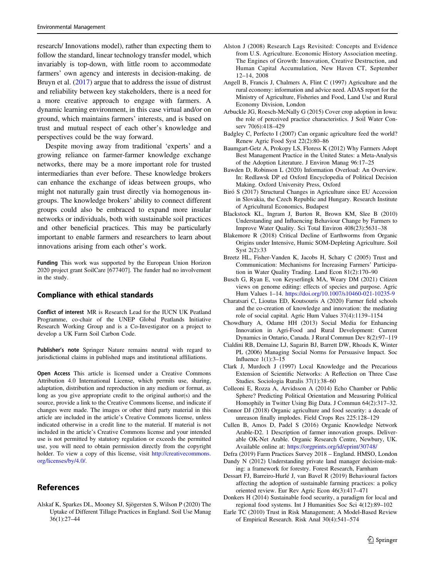<span id="page-10-0"></span>research/ Innovations model), rather than expecting them to follow the standard, linear technology transfer model, which invariably is top-down, with little room to accommodate farmers' own agency and interests in decision-making. de Bruyn et al. [\(2017](#page-11-0)) argue that to address the issue of distrust and reliability between key stakeholders, there is a need for a more creative approach to engage with farmers. A dynamic learning environment, in this case virtual and/or on ground, which maintains farmers' interests, and is based on trust and mutual respect of each other's knowledge and perspectives could be the way forward.

Despite moving away from traditional 'experts' and a growing reliance on farmer-farmer knowledge exchange networks, there may be a more important role for trusted intermediaries than ever before. These knowledge brokers can enhance the exchange of ideas between groups, who might not naturally gain trust directly via homogenous ingroups. The knowledge brokers' ability to connect different groups could also be embraced to expand more insular networks or individuals, both with sustainable soil practices and other beneficial practices. This may be particularly important to enable farmers and researchers to learn about innovations arising from each other's work.

Funding This work was supported by the European Union Horizon 2020 project grant SoilCare [677407]. The funder had no involvement in the study.

#### Compliance with ethical standards

Conflict of interest MR is Research Lead for the IUCN UK Peatland Programme, co-chair of the UNEP Global Peatlands Initiative Research Working Group and is a Co-Investigator on a project to develop a UK Farm Soil Carbon Code.

Publisher's note Springer Nature remains neutral with regard to jurisdictional claims in published maps and institutional affiliations.

Open Access This article is licensed under a Creative Commons Attribution 4.0 International License, which permits use, sharing, adaptation, distribution and reproduction in any medium or format, as long as you give appropriate credit to the original author(s) and the source, provide a link to the Creative Commons license, and indicate if changes were made. The images or other third party material in this article are included in the article's Creative Commons license, unless indicated otherwise in a credit line to the material. If material is not included in the article's Creative Commons license and your intended use is not permitted by statutory regulation or exceeds the permitted use, you will need to obtain permission directly from the copyright holder. To view a copy of this license, visit [http://creativecommons.](http://creativecommons.org/licenses/by/4.0/) [org/licenses/by/4.0/.](http://creativecommons.org/licenses/by/4.0/)

## References

Alskaf K, Sparkes DL, Mooney SJ, Sjögersten S, Wilson P (2020) The Uptake of Different Tillage Practices in England. Soil Use Manag 36(1):27–44

- Alston J (2008) Research Lags Revisited: Concepts and Evidence from U.S. Agriculture. Economic History Association meeting. The Engines of Growth: Innovation, Creative Destruction, and Human Capital Accumulation, New Haven CT, September 12–14, 2008
- Angell B, Francis J, Chalmers A, Flint C (1997) Agriculture and the rural economy: information and advice need. ADAS report for the Ministry of Agriculture, Fisheries and Food, Land Use and Rural Economy Division, London
- Arbuckle JG, Roesch-McNally G (2015) Cover crop adoption in Iowa: the role of perceived practice characteristics. J Soil Water Conserv 70(6):418–429
- Badgley C, Perfecto I (2007) Can organic agriculture feed the world? Renew Agric Food Syst 22(2):80–86
- Baumgart-Getz A, Prokopy LS, Floress K (2012) Why Farmers Adopt Best Management Practice in the United States: a Meta-Analysis of the Adoption Literature. J Environ Manag 96:17–25
- Bawden D, Robinson L (2020) Information Overload: An Overview. In: Redlawsk DP ed Oxford Encyclopedia of Political Decision Making. Oxford University Press, Oxford
- Biró S (2017) Structural Changes in Agriculture since EU Accession in Slovakia, the Czech Republic and Hungary. Research Institute of Agricultural Economics, Budapest
- Blackstock KL, Ingram J, Burton R, Brown KM, Slee B (2010) Understanding and Influencing Behaviour Change by Farmers to Improve Water Quality. Sci Total Environ 408(23):5631–38
- Blakemore R (2018) Critical Decline of Earthworms from Organic Origins under Intensive, Humic SOM-Depleting Agriculture. Soil Syst 2(2):33
- Breetz HL, Fisher-Vanden K, Jacobs H, Schary C (2005) Trust and Communication: Mechanisms for Increasing Farmers' Participation in Water Quality Trading. Land Econ 81(2):170–90
- Busch G, Ryan E, von Keyserlingk MA, Weary DM (2021) Citizen views on genome editing: effects of species and purpose. Agric Hum Values 1–14. <https://doi.org/10.1007/s10460-021-10235-9>
- Charatsari C, Lioutas ED, Koutsouris A (2020) Farmer field schools and the co-creation of knowledge and innovation: the mediating role of social capital. Agric Hum Values 37(4):1139–1154
- Chowdhury A, Odame HH (2013) Social Media for Enhancing Innovation in Agri-Food and Rural Development: Current Dynamics in Ontario, Canada. J Rural Commun Dev 8(2):97–119
- Cialdini RB, Demaine LJ, Sagarin BJ, Barrett DW, Rhoads K, Winter PL (2006) Managing Social Norms for Persuasive Impact. Soc Influence 1(1):3–15
- Clark J, Murdoch J (1997) Local Knowledge and the Precarious Extension of Scientific Networks: A Reflection on Three Case Studies. Sociologia Ruralis 37(1):38–60
- Colleoni E, Rozza A, Arvidsson A (2014) Echo Chamber or Public Sphere? Predicting Political Orientation and Measuring Political Homophily in Twitter Using Big Data. J Commun 64(2):317–32.
- Connor DJ (2018) Organic agriculture and food security: a decade of unreason finally implodes. Field Crops Res 225:128–129
- Cullen B, Amos D, Padel S (2016) Organic Knowledge Network Arable-D2. 1 Description of farmer innovation groups. Deliverable OK-Net Arable. Organic Research Centre, Newbury, UK. Available online at: <https://orgprints.org/id/eprint/30748/>
- Defra (2019) Farm Practices Survey 2018 England. HMSO, London Dandy N (2012) Understanding private land manager decision-mak-
- ing: a framework for forestry. Forest Research, Farnham Dessart FJ, Barreiro-Hurlé J, van Bavel R (2019) Behavioural factors affecting the adoption of sustainable farming practices: a policy oriented review. Eur Rev Agric Econ 46(3):417–471
- Donkers H (2014) Sustainable food security, a paradigm for local and regional food systems. Int J Humanities Soc Sci 4(12):89–102
- Earle TC (2010) Trust in Risk Management; A Model-Based Review of Empirical Research. Risk Anal 30(4):541–574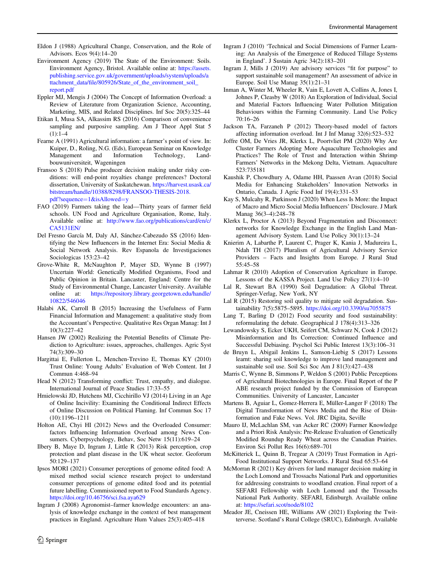- <span id="page-11-0"></span>Eldon J (1988) Agricultural Change, Conservation, and the Role of Advisors. Ecos 9(4):14–20
- Environment Agency (2019) The State of the Environment: Soils. Environment Agency, Bristol. Available online at: [https://assets.](https://assets.publishing.service.gov.uk/government/uploads/system/uploads/attachment_data/file/805926/State_of_the_environment_soil_report.pdf) [publishing.service.gov.uk/government/uploads/system/uploads/a](https://assets.publishing.service.gov.uk/government/uploads/system/uploads/attachment_data/file/805926/State_of_the_environment_soil_report.pdf) ttachment\_data/fi[le/805926/State\\_of\\_the\\_environment\\_soil\\_](https://assets.publishing.service.gov.uk/government/uploads/system/uploads/attachment_data/file/805926/State_of_the_environment_soil_report.pdf) [report.pdf](https://assets.publishing.service.gov.uk/government/uploads/system/uploads/attachment_data/file/805926/State_of_the_environment_soil_report.pdf)
- Eppler MJ, Mengis J (2004) The Concept of Information Overload: a Review of Literature from Organization Science, Accounting, Marketing, MIS, and Related Disciplines. Inf Soc 20(5):325–44
- Etikan I, Musa SA, Alkassim RS (2016) Comparison of convenience sampling and purposive sampling. Am J Theor Appl Stat 5  $(1):1-4$
- Fearne A (1991) Agricultural information: a farmer's point of view. In: Kuiper, D., Roling, N.G. (Eds), European Seminar on Knowledge Management and Information Technology, Landbouwuniversiteit, Wageningen
- Fransoo S (2018) Pulse producer decision making under risky conditions: will end-point royalties change preferences? Doctoral dissertation, University of Saskatchewan. [https://harvest.usask.ca/](https://harvest.usask.ca/bitstream/handle/10388/8298/FRANSOO-THESIS-2018.pdf?sequence=1&isAllowed=y) [bitstream/handle/10388/8298/FRANSOO-THESIS-2018.](https://harvest.usask.ca/bitstream/handle/10388/8298/FRANSOO-THESIS-2018.pdf?sequence=1&isAllowed=y) [pdf?sequence](https://harvest.usask.ca/bitstream/handle/10388/8298/FRANSOO-THESIS-2018.pdf?sequence=1&isAllowed=y)=1&isAllowed=y
- FAO (2019) Farmers taking the lead—Thirty years of farmer field schools. UN Food and Agriculture Organisation, Rome, Italy. Available online at: [http://www.fao.org/publications/card/en/c/](http://www.fao.org/publications/card/en/c/CA5131EN/) [CA5131EN/](http://www.fao.org/publications/card/en/c/CA5131EN/)
- Del Fresno García M, Daly AJ, Sánchez-Cabezudo SS (2016) Identifying the New Influencers in the Internet Era: Social Media & Social Network Analysis. Rev Espanola de Investigaciones Sociologicas 153:23–42
- Grove-White R, McNaughton P, Mayer SD, Wynne B (1997) Uncertain World: Genetically Modified Organisms, Food and Public Opinion in Britain. Lancaster, England: Centre for the Study of Environmental Change, Lancaster University. Available online at: [https://repository.library.georgetown.edu/handle/](https://repository.library.georgetown.edu/handle/10822/546046) [10822/546046](https://repository.library.georgetown.edu/handle/10822/546046)
- Halabi AK, Carroll B (2015) Increasing the Usefulness of Farm Financial Information and Management: a qualitative study from the Accountant's Perspective. Qualitative Res Organ Manag: Int J 10(3):227–42
- Hansen JW (2002) Realizing the Potential Benefits of Climate Prediction to Agriculture: issues, approaches, challenges. Agric Syst 74(3):309–30
- Hargittai E, Fullerton L, Menchen-Trevino E, Thomas KY (2010) Trust Online: Young Adults' Evaluation of Web Content. Int J Commun 4:468–94
- Head N (2012) Transforming conflict: Trust, empathy, and dialogue. International Journal of Peace Studies 17:33–55
- Hmielowski JD, Hutchens MJ, Cicchirillo VJ (2014) Living in an Age of Online Incivility: Examining the Conditional Indirect Effects of Online Discussion on Political Flaming. Inf Commun Soc 17 (10):1196–1211
- Holton AE, Chyi HI (2012) News and the Overloaded Consumer: factors Influencing Information Overload among News Consumers. Cyberpsychology, Behav, Soc Netw 15(11):619–24
- Ilbery B, Maye D, Ingram J, Little R (2013) Risk perception, crop protection and plant disease in the UK wheat sector. Geoforum 50:129–137
- Ipsos MORI (2021) Consumer perceptions of genome edited food: A mixed method social science research project to understand consumer perceptions of genome edited food and its potential future labelling. Commissioned report to Food Standards Agency. <https://doi.org/10.46756/sci.fsa.aya629>
- Ingram J (2008) Agronomist–farmer knowledge encounters: an analysis of knowledge exchange in the context of best management practices in England. Agriculture Hum Values 25(3):405–418
- Ingram J (2010) 'Technical and Social Dimensions of Farmer Learning: An Analysis of the Emergence of Reduced Tillage Systems in England'. J Sustain Agric 34(2):183–201
- Ingram J, Mills J (2019) Are advisory services "fit for purpose" to support sustainable soil management? An assessment of advice in Europe. Soil Use Manag 35(1):21–31
- Inman A, Winter M, Wheeler R, Vain E, Lovett A, Collins A, Jones I, Johnes P, Cleasby W (2018) An Exploration of Individual, Social and Material Factors Influencing Water Pollution Mitigation Behaviours within the Farming Community. Land Use Policy 70:16–26
- Jackson TA, Farzaneh P (2012) Theory-based model of factors affecting information overload. Int J Inf Manag 32(6):523–532
- Joffre OM, De Vries JR, Klerkx L, Poortvliet PM (2020) Why Are Cluster Farmers Adopting More Aquaculture Technologies and Practices? The Role of Trust and Interaction within Shrimp Farmers' Networks in the Mekong Delta, Vietnam. Aquaculture 523:735181
- Kaushik P, Chowdhury A, Odame HH, Paassen Avan (2018) Social Media for Enhancing Stakeholders' Innovation Networks in Ontario, Canada. J Agric Food Inf 19(4):331–53
- Kay S, Mulcahy R, Parkinson J (2020) When Less Is More: the Impact of Macro and Micro Social Media Influencers' Disclosure. J Mark Manag 36(3–4):248–78
- Klerkx L, Proctor A (2013) Beyond Fragmentation and Disconnect: networks for Knowledge Exchange in the English Land Management Advisory System. Land Use Policy 30(1):13–24
- Knierim A, Labarthe P, Laurent C, Prager K, Kania J, Madureira L, Ndah TH (2017) Pluralism of Agricultural Advisory Service Providers – Facts and Insights from Europe. J Rural Stud 55:45–58
- Lahmar R (2010) Adoption of Conservation Agriculture in Europe. Lessons of the KASSA Project. Land Use Policy 27(1):4–10
- Lal R, Stewart BA (1990) Soil Degradation: A Global Threat. Springer-Verlag, New York, NY
- Lal R (2015) Restoring soil quality to mitigate soil degradation. Sustainability 7(5):5875–5895. <https://doi.org/10.3390/su7055875>
- Lang T, Barling D (2012) Food security and food sustainability: reformulating the debate. Geographical J 178(4):313–326
- Lewandowsky S, Ecker UKH, Seifert CM, Schwarz N, Cook J (2012) Misinformation and Its Correction: Continued Influence and Successful Debiasing. Psychol Sci Public Interest 13(3):106–31
- de Bruyn L, Abigail Jenkins L, Samson-Liebig S (2017) Lessons learnt: sharing soil knowledge to improve land management and sustainable soil use. Soil Sci Soc Am J 81(3):427–438
- Marris C, Wynne B, Simmons P, Weldon S (2001) Public Perceptions of Agricultural Biotechnologies in Europe. Final Report of the P ABE research project funded by the Commission of European Communities. University of Lancaster, Lancaster
- Martens B, Aguiar L, Gomez-Herrera E, Müller-Langer F (2018) The Digital Transformation of News Media and the Rise of Disinformation and Fake News. Vol. JRC Digita, Seville
- Mauro IJ, McLachlan SM, van Acker RC (2009) Farmer Knowledge and a Priori Risk Analysis: Pre-Release Evaluation of Genetically Modified Roundup Ready Wheat across the Canadian Prairies. Environ Sci Pollut Res 16(6):689–701
- McKitterick L, Quinn B, Tregear A (2019) Trust Formation in Agri-Food Institutional Support Networks. J Rural Stud 65:53–64
- McMorran R (2021) Key drivers for land manager decision making in the Loch Lomond and Trossachs National Park and opportunities for addressing constraints to woodland creation. Final report of a SEFARI Fellowship with Loch Lomond and the Trossachs National Park Authority. SEFARI, Edinburgh. Available online at: <https://sefari.scot/node/8102>
- Meador JE, Cneissen HE, Williams AW (2021) Exploring the Twitterverse. Scotland's Rural College (SRUC), Edinburgh. Available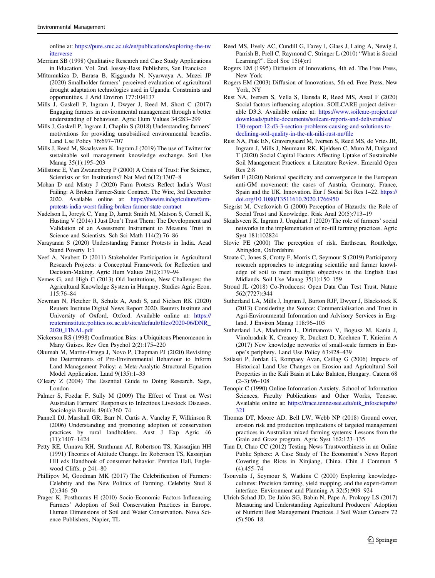<span id="page-12-0"></span>online at: [https://pure.sruc.ac.uk/en/publications/exploring-the-tw](https://pure.sruc.ac.uk/en/publications/exploring-the-twitterverse) [itterverse](https://pure.sruc.ac.uk/en/publications/exploring-the-twitterverse)

- Merriam SB (1998) Qualitative Research and Case Study Applications in Education. Vol. 2nd. Jossey-Bass Publishers, San Francisco
- Mfitumukiza D, Barasa B, Kiggundu N, Nyarwaya A, Muzei JP (2020) Smallholder farmers' perceived evaluation of agricultural drought adaptation technologies used in Uganda: Constraints and opportunities. J Arid Environ 177:104137
- Mills J, Gaskell P, Ingram J, Dwyer J, Reed M, Short C (2017) Engaging farmers in environmental management through a better understanding of behaviour. Agric Hum Values 34:283–299
- Mills J, Gaskell P, Ingram J, Chaplin S (2018) Understanding farmers' motivations for providing unsubsidised environmental benefits. Land Use Policy 76:697–707
- Mills J, Reed M, Skaalsveen K, Ingram J (2019) The use of Twitter for sustainable soil management knowledge exchange. Soil Use Manag 35(1):195–203
- Millstone E, Van Zwanenberg P (2000) A Crisis of Trust: For Science, Scientists or for Institutions? Nat Med 6(12):1307–8
- Mohan D and Mistry J (2020) Farm Protests Reflect India's Worst Failing: A Broken Farmer-State Contract. The Wire, 3rd December 2020. Available online at: [https://thewire.in/agriculture/farm](https://thewire.in/agriculture/farm-protests-india-worst-failing-broken-farmer-state-contract)[protests-india-worst-failing-broken-farmer-state-contract](https://thewire.in/agriculture/farm-protests-india-worst-failing-broken-farmer-state-contract)
- Nadelson L, Jorcyk C, Yang D, Jarratt Smith M, Matson S, Cornell K, Husting V (2014) I Just Don't Trust Them: The Development and Validation of an Assessment Instrument to Measure Trust in Science and Scientists. Sch Sci Math 114(2):76–86
- Narayanan S (2020) Understanding Farmer Protests in India. Acad Stand Poverty 1:1
- Neef A, Neubert D (2011) Stakeholder Participation in Agricultural Research Projects: a Conceptual Framework for Reflection and Decision-Making. Agric Hum Values 28(2):179–94
- Nemes G, and High C (2013) Old Institutions, New Challenges: the Agricultural Knowledge System in Hungary. Studies Agric Econ. 115:76–84
- Newman N, Fletcher R, Schulz A, Andı S, and Nielsen RK (2020) Reuters Institute Digital News Report 2020. Reuters Institute and University of Oxford, Oxford. Available online at: [https://](https://reutersinstitute.politics.ox.ac.uk/sites/default/files/2020-06/DNR_2020_FINAL.pdf) [reutersinstitute.politics.ox.ac.uk/sites/default/](https://reutersinstitute.politics.ox.ac.uk/sites/default/files/2020-06/DNR_2020_FINAL.pdf)files/2020-06/DNR\_ [2020\\_FINAL.pdf](https://reutersinstitute.politics.ox.ac.uk/sites/default/files/2020-06/DNR_2020_FINAL.pdf)
- Nickerson RS (1998) Confirmation Bias: a Ubiquitous Phenomenon in Many Guises. Rev Gen Psychol 2(2):175–220
- Okumah M, Martin-Ortega J, Novo P, Chapman PJ (2020) Revisiting the Determinants of Pro-Environmental Behaviour to Inform Land Management Policy: a Meta-Analytic Structural Equation Model Application. Land 9(135):1–33
- O'leary Z (2004) The Essential Guide to Doing Research. Sage, London
- Palmer S, Fozdar F, Sully M (2009) The Effect of Trust on West Australian Farmers' Responses to Infectious Livestock Diseases. Sociologia Ruralis 49(4):360–74
- Pannell DJ, Marshall GR, Barr N, Curtis A, Vanclay F, Wilkinson R (2006) Understanding and promoting adoption of conservation practices by rural landholders. Aust J Exp Agric 46 (11):1407–1424
- Petty RE, Unnava RH, Strathman AJ, Robertson TS, Kassarjian HH (1991) Theories of Attitude Change. In: Robertson TS, Kassirjian HH eds Handbook of consumer behavior. Prentice Hall, Englewood Cliffs, p 241–80
- Phillipov M, Goodman MK (2017) The Celebrification of Farmers: Celebrity and the New Politics of Farming. Celebrity Stud 8 (2):346–50
- Prager K, Posthumus H (2010) Socio-Economic Factors Influencing Farmers' Adoption of Soil Conservation Practices in Europe. Human Dimensions of Soil and Water Conservation. Nova Science Publishers, Napier, TL
- Reed MS, Evely AC, Cundill G, Fazey I, Glass J, Laing A, Newig J, Parrish B, Prell C, Raymond C, Stringer L (2010) "What is Social Learning?". Ecol Soc 15(4):r1
- Rogers EM (1995) Diffusion of Innovations, 4th ed. The Free Press, New York
- Rogers EM (2003) Diffusion of Innovations, 5th ed. Free Press, New York, NY
- Rust NA, Iversen S, Vella S, Hansda R, Reed MS, Areal F (2020) Social factors influencing adoption. SOILCARE project deliverable D3.3. Available online at: [https://www.soilcare-project.eu/](https://www.soilcare-project.eu/downloads/public-documents/soilcare-reports-and-deliverables/130-report-12-d3-3-section-problems-causing-and-solutions-to-declining-soil-quality-in-the-uk-niki-rust-nu/file) [downloads/public-documents/soilcare-reports-and-deliverables/](https://www.soilcare-project.eu/downloads/public-documents/soilcare-reports-and-deliverables/130-report-12-d3-3-section-problems-causing-and-solutions-to-declining-soil-quality-in-the-uk-niki-rust-nu/file) [130-report-12-d3-3-section-problems-causing-and-solutions-to](https://www.soilcare-project.eu/downloads/public-documents/soilcare-reports-and-deliverables/130-report-12-d3-3-section-problems-causing-and-solutions-to-declining-soil-quality-in-the-uk-niki-rust-nu/file)[declining-soil-quality-in-the-uk-niki-rust-nu/](https://www.soilcare-project.eu/downloads/public-documents/soilcare-reports-and-deliverables/130-report-12-d3-3-section-problems-causing-and-solutions-to-declining-soil-quality-in-the-uk-niki-rust-nu/file)file
- Rust NA, Ptak EN, Graversgaard M, Iversen S, Reed MS, de Vries JR, Ingram J, Mills J, Neumann RK, Kjeldsen C, Muro M, Dalgaard T (2020) Social Capital Factors Affecting Uptake of Sustainable Soil Management Practices: a Literature Review. Emerald Open  $Res$   $2.8$
- Seifert F (2020) National specificity and convergence in the European anti-GM movement: the cases of Austria, Germany, France, Spain and the UK. Innovation. Eur J Social Sci Res 1–22. [https://](https://doi.org/10.1080/13511610.2020.1766950) [doi.org/10.1080/13511610.2020.1766950](https://doi.org/10.1080/13511610.2020.1766950)
- Siegrist M, Cvetkovich G (2000) Perception of Hazards: the Role of Social Trust and Knowledge. Risk Anal 20(5):713–19
- Skaalsveen K, Ingram J, Urquhart J (2020) The role of farmers' social networks in the implementation of no-till farming practices. Agric Syst 181:102824
- Slovic PE (2000) The perception of risk. Earthscan, Routledge, Abingdon, Oxfordshire
- Stoate C, Jones S, Crotty F, Morris C, Seymour S (2019) Participatory research approaches to integrating scientific and farmer knowledge of soil to meet multiple objectives in the English East Midlands. Soil Use Manag 35(1):150–159
- Stroud JL (2018) Co-Producers: Open Data Can Test Trust. Nature 562(7727):344
- Sutherland LA, Mills J, Ingram J, Burton RJF, Dwyer J, Blackstock K (2013) Considering the Source: Commercialisation and Trust in Agri-Environmental Information and Advisory Services in England. J Environ Manag 118:96–105
- Sutherland LA, Madureira L, Dirimanova V, Bogusz M, Kania J, Vinohradnik K, Creaney R, Duckett D, Koehnen T, Knierim A (2017) New knowledge networks of small-scale farmers in Europe's periphery. Land Use Policy 63:428–439
- Szilassi P, Jordan G, Rompaey Avan, Csillag G (2006) Impacts of Historical Land Use Changes on Erosion and Agricultural Soil Properties in the Kali Basin at Lake Balaton, Hungary. Catena 68  $(2-3):96-108$
- Tenopir C (1990) Online Information Anxiety. School of Information Sciences, Faculty Publications and Other Works, Tenesse. Available online at: [https://trace.tennessee.edu/utk\\_infosciepubs/](https://trace.tennessee.edu/utk_infosciepubs/321) [321](https://trace.tennessee.edu/utk_infosciepubs/321)
- Thomas DT, Moore AD, Bell LW, Webb NP (2018) Ground cover, erosion risk and production implications of targeted management practices in Australian mixed farming systems: Lessons from the Grain and Graze program. Agric Syst 162:123–135
- Tian D, Chao CC (2012) Testing News Trustworthiness in an Online Public Sphere: A Case Study of The Economist's News Report Covering the Riots in Xinjiang, China. Chin J Commun 5 (4):455–74
- Tsouvalis J, Seymour S, Watkins C (2000) Exploring knowledgecultures: Precision farming, yield mapping, and the expert-farmer interface. Environment and Planning A 32(5):909–924
- Ulrich-Schad JD, De Jalón SG, Babin N, Pape A, Prokopy LS (2017) Measuring and Understanding Agricultural Producers' Adoption of Nutrient Best Management Practices. J Soil Water Conserv 72 (5):506–18.